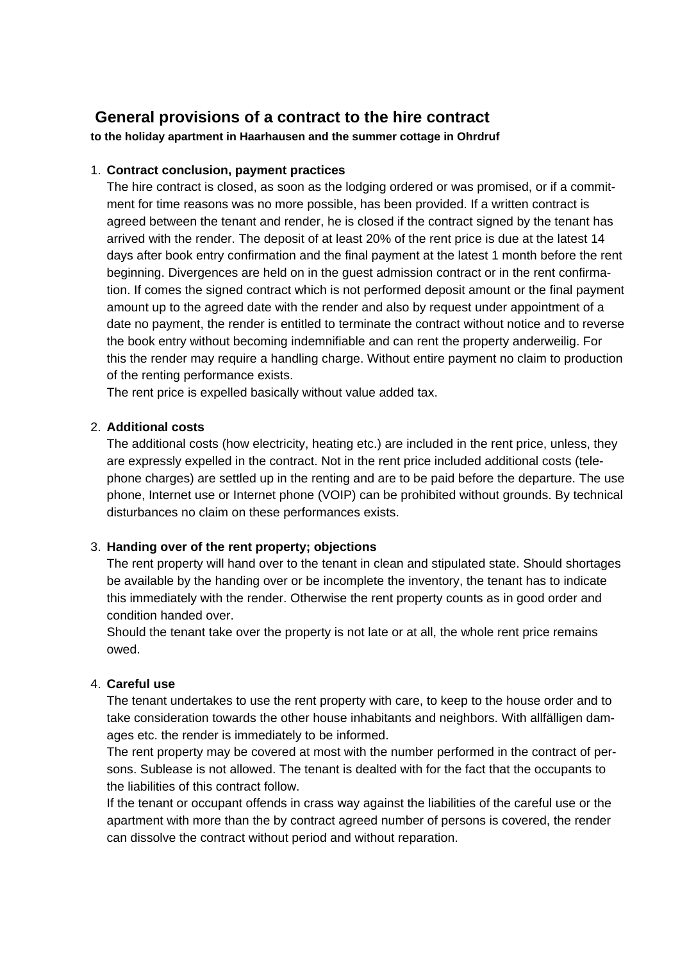# **General provisions of a contract to the hire contract**

**to the holiday apartment in Haarhausen and the summer cottage in Ohrdruf** 

# 1. **Contract conclusion, payment practices**

The hire contract is closed, as soon as the lodging ordered or was promised, or if a commitment for time reasons was no more possible, has been provided. If a written contract is agreed between the tenant and render, he is closed if the contract signed by the tenant has arrived with the render. The deposit of at least 20% of the rent price is due at the latest 14 days after book entry confirmation and the final payment at the latest 1 month before the rent beginning. Divergences are held on in the guest admission contract or in the rent confirmation. If comes the signed contract which is not performed deposit amount or the final payment amount up to the agreed date with the render and also by request under appointment of a date no payment, the render is entitled to terminate the contract without notice and to reverse the book entry without becoming indemnifiable and can rent the property anderweilig. For this the render may require a handling charge. Without entire payment no claim to production of the renting performance exists.

The rent price is expelled basically without value added tax.

## 2. **Additional costs**

The additional costs (how electricity, heating etc.) are included in the rent price, unless, they are expressly expelled in the contract. Not in the rent price included additional costs (telephone charges) are settled up in the renting and are to be paid before the departure. The use phone, Internet use or Internet phone (VOIP) can be prohibited without grounds. By technical disturbances no claim on these performances exists.

# 3. **Handing over of the rent property; objections**

The rent property will hand over to the tenant in clean and stipulated state. Should shortages be available by the handing over or be incomplete the inventory, the tenant has to indicate this immediately with the render. Otherwise the rent property counts as in good order and condition handed over.

Should the tenant take over the property is not late or at all, the whole rent price remains owed.

# 4. **Careful use**

The tenant undertakes to use the rent property with care, to keep to the house order and to take consideration towards the other house inhabitants and neighbors. With allfälligen damages etc. the render is immediately to be informed.

The rent property may be covered at most with the number performed in the contract of persons. Sublease is not allowed. The tenant is dealted with for the fact that the occupants to the liabilities of this contract follow.

If the tenant or occupant offends in crass way against the liabilities of the careful use or the apartment with more than the by contract agreed number of persons is covered, the render can dissolve the contract without period and without reparation.